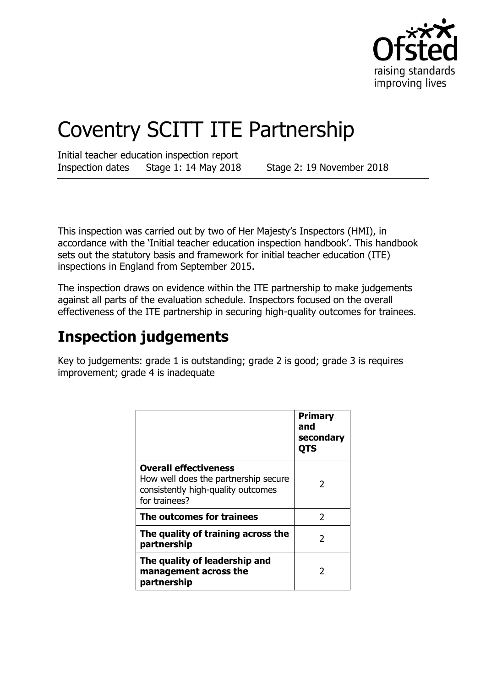

# Coventry SCITT ITE Partnership

Initial teacher education inspection report Inspection dates Stage 1: 14 May 2018 Stage 2: 19 November 2018

This inspection was carried out by two of Her Majesty's Inspectors (HMI), in accordance with the 'Initial teacher education inspection handbook'. This handbook sets out the statutory basis and framework for initial teacher education (ITE) inspections in England from September 2015.

The inspection draws on evidence within the ITE partnership to make judgements against all parts of the evaluation schedule. Inspectors focused on the overall effectiveness of the ITE partnership in securing high-quality outcomes for trainees.

## **Inspection judgements**

Key to judgements: grade 1 is outstanding; grade 2 is good; grade 3 is requires improvement; grade 4 is inadequate

|                                                                                                                             | <b>Primary</b><br>and<br>secondary<br>QTS |
|-----------------------------------------------------------------------------------------------------------------------------|-------------------------------------------|
| <b>Overall effectiveness</b><br>How well does the partnership secure<br>consistently high-quality outcomes<br>for trainees? | 2                                         |
| The outcomes for trainees                                                                                                   | $\mathcal{P}$                             |
| The quality of training across the<br>partnership                                                                           | $\mathcal{P}$                             |
| The quality of leadership and<br>management across the<br>partnership                                                       | 2                                         |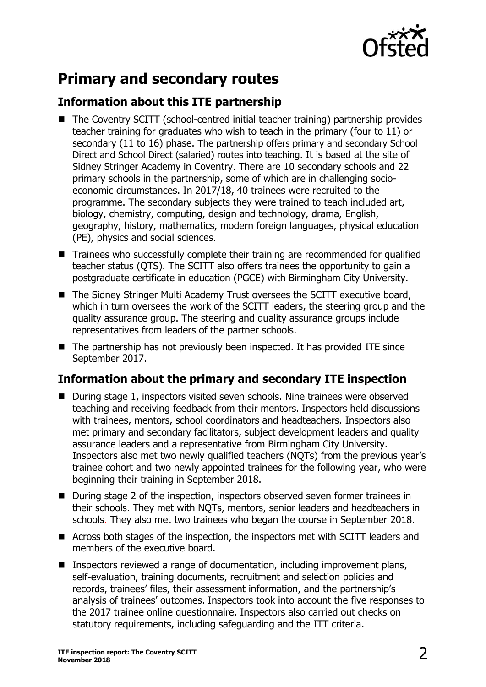

## **Primary and secondary routes**

#### **Information about this ITE partnership**

- The Coventry SCITT (school-centred initial teacher training) partnership provides teacher training for graduates who wish to teach in the primary (four to 11) or secondary (11 to 16) phase. The partnership offers primary and secondary School Direct and School Direct (salaried) routes into teaching. It is based at the site of Sidney Stringer Academy in Coventry. There are 10 secondary schools and 22 primary schools in the partnership, some of which are in challenging socioeconomic circumstances. In 2017/18, 40 trainees were recruited to the programme. The secondary subjects they were trained to teach included art, biology, chemistry, computing, design and technology, drama, English, geography, history, mathematics, modern foreign languages, physical education (PE), physics and social sciences.
- Trainees who successfully complete their training are recommended for qualified teacher status (QTS). The SCITT also offers trainees the opportunity to gain a postgraduate certificate in education (PGCE) with Birmingham City University.
- The Sidney Stringer Multi Academy Trust oversees the SCITT executive board, which in turn oversees the work of the SCITT leaders, the steering group and the quality assurance group. The steering and quality assurance groups include representatives from leaders of the partner schools.
- The partnership has not previously been inspected. It has provided ITE since September 2017.

### **Information about the primary and secondary ITE inspection**

- During stage 1, inspectors visited seven schools. Nine trainees were observed teaching and receiving feedback from their mentors. Inspectors held discussions with trainees, mentors, school coordinators and headteachers. Inspectors also met primary and secondary facilitators, subject development leaders and quality assurance leaders and a representative from Birmingham City University. Inspectors also met two newly qualified teachers (NQTs) from the previous year's trainee cohort and two newly appointed trainees for the following year, who were beginning their training in September 2018.
- During stage 2 of the inspection, inspectors observed seven former trainees in their schools. They met with NQTs, mentors, senior leaders and headteachers in schools. They also met two trainees who began the course in September 2018.
- Across both stages of the inspection, the inspectors met with SCITT leaders and members of the executive board.
- Inspectors reviewed a range of documentation, including improvement plans, self-evaluation, training documents, recruitment and selection policies and records, trainees' files, their assessment information, and the partnership's analysis of trainees' outcomes. Inspectors took into account the five responses to the 2017 trainee online questionnaire. Inspectors also carried out checks on statutory requirements, including safeguarding and the ITT criteria.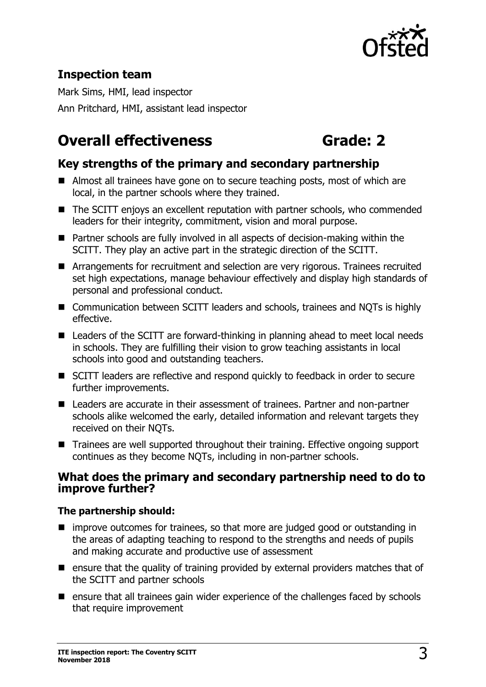

### **Inspection team**

Mark Sims, HMI, lead inspector Ann Pritchard, HMI, assistant lead inspector

## **Overall effectiveness Grade: 2**

#### **Key strengths of the primary and secondary partnership**

- Almost all trainees have gone on to secure teaching posts, most of which are local, in the partner schools where they trained.
- The SCITT enjoys an excellent reputation with partner schools, who commended leaders for their integrity, commitment, vision and moral purpose.
- Partner schools are fully involved in all aspects of decision-making within the SCITT. They play an active part in the strategic direction of the SCITT.
- Arrangements for recruitment and selection are very rigorous. Trainees recruited set high expectations, manage behaviour effectively and display high standards of personal and professional conduct.
- Communication between SCITT leaders and schools, trainees and NQTs is highly effective.
- Leaders of the SCITT are forward-thinking in planning ahead to meet local needs in schools. They are fulfilling their vision to grow teaching assistants in local schools into good and outstanding teachers.
- SCITT leaders are reflective and respond quickly to feedback in order to secure further improvements.
- Leaders are accurate in their assessment of trainees. Partner and non-partner schools alike welcomed the early, detailed information and relevant targets they received on their NQTs.
- Trainees are well supported throughout their training. Effective ongoing support continues as they become NQTs, including in non-partner schools.

#### **What does the primary and secondary partnership need to do to improve further?**

#### **The partnership should:**

- **I** improve outcomes for trainees, so that more are judged good or outstanding in the areas of adapting teaching to respond to the strengths and needs of pupils and making accurate and productive use of assessment
- $\blacksquare$  ensure that the quality of training provided by external providers matches that of the SCITT and partner schools
- $\blacksquare$  ensure that all trainees gain wider experience of the challenges faced by schools that require improvement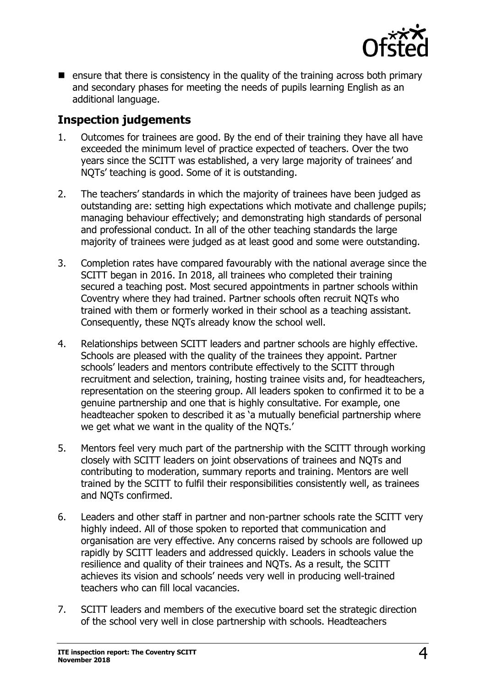

 $\blacksquare$  ensure that there is consistency in the quality of the training across both primary and secondary phases for meeting the needs of pupils learning English as an additional language.

#### **Inspection judgements**

- 1. Outcomes for trainees are good. By the end of their training they have all have exceeded the minimum level of practice expected of teachers. Over the two years since the SCITT was established, a very large majority of trainees' and NQTs' teaching is good. Some of it is outstanding.
- 2. The teachers' standards in which the majority of trainees have been judged as outstanding are: setting high expectations which motivate and challenge pupils; managing behaviour effectively; and demonstrating high standards of personal and professional conduct. In all of the other teaching standards the large majority of trainees were judged as at least good and some were outstanding.
- 3. Completion rates have compared favourably with the national average since the SCITT began in 2016. In 2018, all trainees who completed their training secured a teaching post. Most secured appointments in partner schools within Coventry where they had trained. Partner schools often recruit NQTs who trained with them or formerly worked in their school as a teaching assistant. Consequently, these NQTs already know the school well.
- 4. Relationships between SCITT leaders and partner schools are highly effective. Schools are pleased with the quality of the trainees they appoint. Partner schools' leaders and mentors contribute effectively to the SCITT through recruitment and selection, training, hosting trainee visits and, for headteachers, representation on the steering group. All leaders spoken to confirmed it to be a genuine partnership and one that is highly consultative. For example, one headteacher spoken to described it as 'a mutually beneficial partnership where we get what we want in the quality of the NQTs.'
- 5. Mentors feel very much part of the partnership with the SCITT through working closely with SCITT leaders on joint observations of trainees and NQTs and contributing to moderation, summary reports and training. Mentors are well trained by the SCITT to fulfil their responsibilities consistently well, as trainees and NQTs confirmed.
- 6. Leaders and other staff in partner and non-partner schools rate the SCITT very highly indeed. All of those spoken to reported that communication and organisation are very effective. Any concerns raised by schools are followed up rapidly by SCITT leaders and addressed quickly. Leaders in schools value the resilience and quality of their trainees and NQTs. As a result, the SCITT achieves its vision and schools' needs very well in producing well-trained teachers who can fill local vacancies.
- 7. SCITT leaders and members of the executive board set the strategic direction of the school very well in close partnership with schools. Headteachers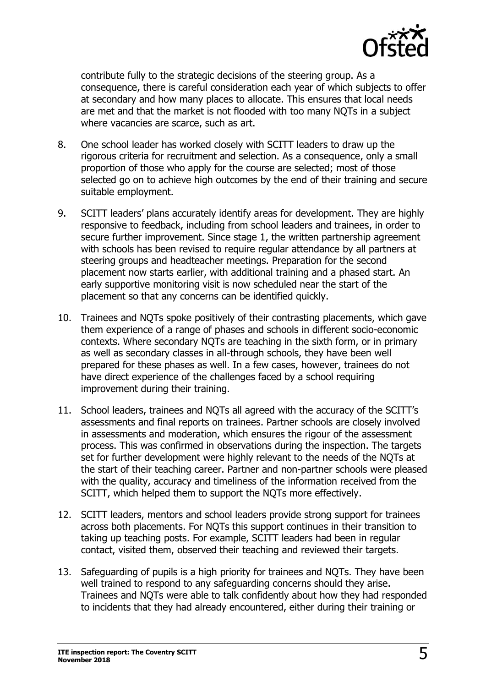

contribute fully to the strategic decisions of the steering group. As a consequence, there is careful consideration each year of which subjects to offer at secondary and how many places to allocate. This ensures that local needs are met and that the market is not flooded with too many NQTs in a subject where vacancies are scarce, such as art.

- 8. One school leader has worked closely with SCITT leaders to draw up the rigorous criteria for recruitment and selection. As a consequence, only a small proportion of those who apply for the course are selected; most of those selected go on to achieve high outcomes by the end of their training and secure suitable employment.
- 9. SCITT leaders' plans accurately identify areas for development. They are highly responsive to feedback, including from school leaders and trainees, in order to secure further improvement. Since stage 1, the written partnership agreement with schools has been revised to require regular attendance by all partners at steering groups and headteacher meetings. Preparation for the second placement now starts earlier, with additional training and a phased start. An early supportive monitoring visit is now scheduled near the start of the placement so that any concerns can be identified quickly.
- 10. Trainees and NQTs spoke positively of their contrasting placements, which gave them experience of a range of phases and schools in different socio-economic contexts. Where secondary NQTs are teaching in the sixth form, or in primary as well as secondary classes in all-through schools, they have been well prepared for these phases as well. In a few cases, however, trainees do not have direct experience of the challenges faced by a school requiring improvement during their training.
- 11. School leaders, trainees and NQTs all agreed with the accuracy of the SCITT's assessments and final reports on trainees. Partner schools are closely involved in assessments and moderation, which ensures the rigour of the assessment process. This was confirmed in observations during the inspection. The targets set for further development were highly relevant to the needs of the NQTs at the start of their teaching career. Partner and non-partner schools were pleased with the quality, accuracy and timeliness of the information received from the SCITT, which helped them to support the NQTs more effectively.
- 12. SCITT leaders, mentors and school leaders provide strong support for trainees across both placements. For NQTs this support continues in their transition to taking up teaching posts. For example, SCITT leaders had been in regular contact, visited them, observed their teaching and reviewed their targets.
- 13. Safeguarding of pupils is a high priority for trainees and NQTs. They have been well trained to respond to any safeguarding concerns should they arise. Trainees and NQTs were able to talk confidently about how they had responded to incidents that they had already encountered, either during their training or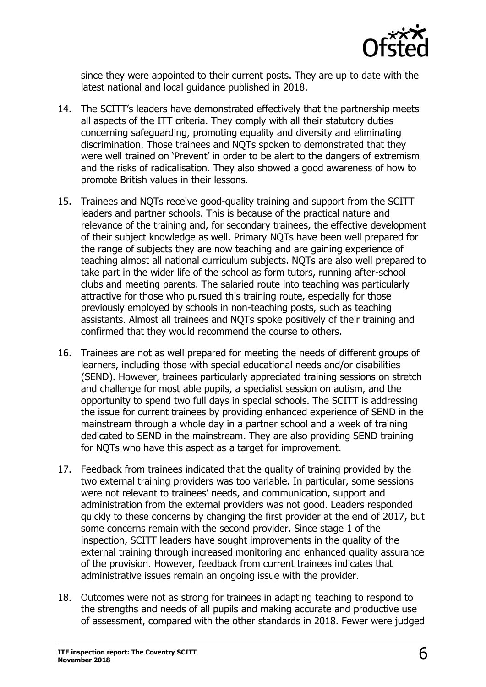

since they were appointed to their current posts. They are up to date with the latest national and local guidance published in 2018.

- 14. The SCITT's leaders have demonstrated effectively that the partnership meets all aspects of the ITT criteria. They comply with all their statutory duties concerning safeguarding, promoting equality and diversity and eliminating discrimination. Those trainees and NQTs spoken to demonstrated that they were well trained on 'Prevent' in order to be alert to the dangers of extremism and the risks of radicalisation. They also showed a good awareness of how to promote British values in their lessons.
- 15. Trainees and NQTs receive good-quality training and support from the SCITT leaders and partner schools. This is because of the practical nature and relevance of the training and, for secondary trainees, the effective development of their subject knowledge as well. Primary NQTs have been well prepared for the range of subjects they are now teaching and are gaining experience of teaching almost all national curriculum subjects. NQTs are also well prepared to take part in the wider life of the school as form tutors, running after-school clubs and meeting parents. The salaried route into teaching was particularly attractive for those who pursued this training route, especially for those previously employed by schools in non-teaching posts, such as teaching assistants. Almost all trainees and NQTs spoke positively of their training and confirmed that they would recommend the course to others.
- 16. Trainees are not as well prepared for meeting the needs of different groups of learners, including those with special educational needs and/or disabilities (SEND). However, trainees particularly appreciated training sessions on stretch and challenge for most able pupils, a specialist session on autism, and the opportunity to spend two full days in special schools. The SCITT is addressing the issue for current trainees by providing enhanced experience of SEND in the mainstream through a whole day in a partner school and a week of training dedicated to SEND in the mainstream. They are also providing SEND training for NQTs who have this aspect as a target for improvement.
- 17. Feedback from trainees indicated that the quality of training provided by the two external training providers was too variable. In particular, some sessions were not relevant to trainees' needs, and communication, support and administration from the external providers was not good. Leaders responded quickly to these concerns by changing the first provider at the end of 2017, but some concerns remain with the second provider. Since stage 1 of the inspection, SCITT leaders have sought improvements in the quality of the external training through increased monitoring and enhanced quality assurance of the provision. However, feedback from current trainees indicates that administrative issues remain an ongoing issue with the provider.
- 18. Outcomes were not as strong for trainees in adapting teaching to respond to the strengths and needs of all pupils and making accurate and productive use of assessment, compared with the other standards in 2018. Fewer were judged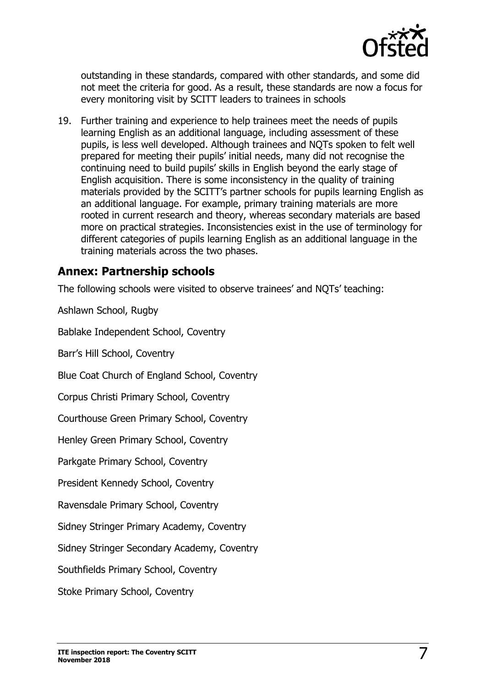

outstanding in these standards, compared with other standards, and some did not meet the criteria for good. As a result, these standards are now a focus for every monitoring visit by SCITT leaders to trainees in schools

19. Further training and experience to help trainees meet the needs of pupils learning English as an additional language, including assessment of these pupils, is less well developed. Although trainees and NQTs spoken to felt well prepared for meeting their pupils' initial needs, many did not recognise the continuing need to build pupils' skills in English beyond the early stage of English acquisition. There is some inconsistency in the quality of training materials provided by the SCITT's partner schools for pupils learning English as an additional language. For example, primary training materials are more rooted in current research and theory, whereas secondary materials are based more on practical strategies. Inconsistencies exist in the use of terminology for different categories of pupils learning English as an additional language in the training materials across the two phases.

#### **Annex: Partnership schools**

The following schools were visited to observe trainees' and NQTs' teaching:

Ashlawn School, Rugby

Bablake Independent School, Coventry

Barr's Hill School, Coventry

Blue Coat Church of England School, Coventry

Corpus Christi Primary School, Coventry

Courthouse Green Primary School, Coventry

Henley Green Primary School, Coventry

Parkgate Primary School, Coventry

President Kennedy School, Coventry

Ravensdale Primary School, Coventry

Sidney Stringer Primary Academy, Coventry

Sidney Stringer Secondary Academy, Coventry

Southfields Primary School, Coventry

Stoke Primary School, Coventry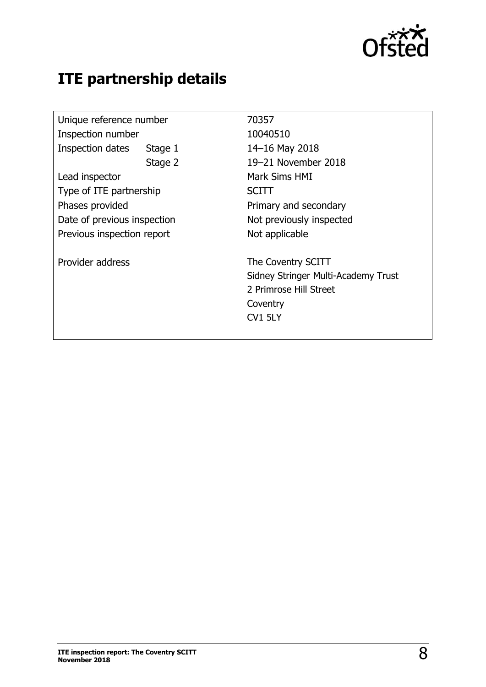

## **ITE partnership details**

| Unique reference number     | 70357                               |
|-----------------------------|-------------------------------------|
| Inspection number           | 10040510                            |
| Inspection dates<br>Stage 1 | 14-16 May 2018                      |
| Stage 2                     | 19-21 November 2018                 |
| Lead inspector              | Mark Sims HMI                       |
| Type of ITE partnership     | <b>SCITT</b>                        |
| Phases provided             | Primary and secondary               |
| Date of previous inspection | Not previously inspected            |
| Previous inspection report  | Not applicable                      |
| Provider address            | The Coventry SCITT                  |
|                             | Sidney Stringer Multi-Academy Trust |
|                             | 2 Primrose Hill Street              |
|                             | Coventry                            |
|                             | CV1 5LY                             |
|                             |                                     |
|                             |                                     |